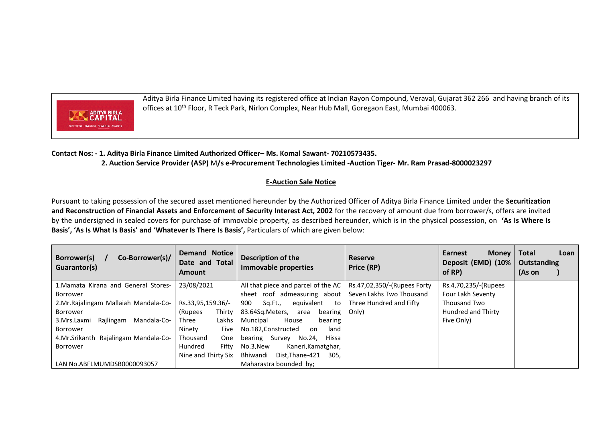

Aditya Birla Finance Limited having its registered office at Indian Rayon Compound, Veraval, Gujarat 362 266 and having branch of its offices at 10<sup>th</sup> Floor, R Teck Park, Nirlon Complex, Near Hub Mall, Goregaon East, Mumbai 400063.

## **Contact Nos: - 1. Aditya Birla Finance Limited Authorized Officer– Ms. Komal Sawant- 70210573435. 2. Auction Service Provider (ASP)** M**/s e-Procurement Technologies Limited -Auction Tiger- Mr. Ram Prasad-8000023297**

## **E-Auction Sale Notice**

Pursuant to taking possession of the secured asset mentioned hereunder by the Authorized Officer of Aditya Birla Finance Limited under the **Securitization and Reconstruction of Financial Assets and Enforcement of Security Interest Act, 2002** for the recovery of amount due from borrower/s, offers are invited by the undersigned in sealed covers for purchase of immovable property, as described hereunder, which is in the physical possession, on **'As Is Where Is Basis', 'As Is What Is Basis' and 'Whatever Is There Is Basis',** Particulars of which are given below:

| Co-Borrower(s)/<br>Borrower(s)<br>Guarantor(s) | <b>Demand Notice</b><br>Date and Total<br><b>Amount</b> | Description of the<br>Immovable properties                        | <b>Reserve</b><br>Price (RP) | Earnest<br><b>Money</b><br>Deposit (EMD) (10%<br>of RP) | <b>Total</b><br>Loan<br><b>Outstanding</b><br>(As on |
|------------------------------------------------|---------------------------------------------------------|-------------------------------------------------------------------|------------------------------|---------------------------------------------------------|------------------------------------------------------|
| 1. Mamata Kirana and General Stores-           | 23/08/2021                                              | All that piece and parcel of the AC   Rs.47,02,350/-(Rupees Forty |                              | Rs.4,70,235/-(Rupees                                    |                                                      |
| Borrower                                       |                                                         | sheet roof admeasuring about Seven Lakhs Two Thousand             |                              | Four Lakh Seventy                                       |                                                      |
| 2.Mr. Rajalingam Mallaiah Mandala-Co-          | Rs.33,95,159.36/-                                       | equivalent<br>900<br>Sq.Ft.,<br>to                                | Three Hundred and Fifty      | Thousand Two                                            |                                                      |
| Borrower                                       | Thirty<br>(Rupees                                       | 83.64Sg.Meters,<br>bearing<br>area                                | Only)                        | Hundred and Thirty                                      |                                                      |
| Rajlingam<br>3.Mrs.Laxmi<br>Mandala-Co-        | Lakhs<br>Three                                          | House<br>bearing<br>Muncipal                                      |                              | Five Only)                                              |                                                      |
| Borrower                                       | Five<br>Ninety                                          | No.182, Constructed<br>land<br>on.                                |                              |                                                         |                                                      |
| 4. Mr. Srikanth Rajalingam Mandala-Co-         | One<br>Thousand                                         | No.24,<br>Hissa<br>Survey<br>bearing                              |                              |                                                         |                                                      |
| Borrower                                       | Fifty<br>Hundred                                        | No.3.New<br>Kaneri, Kamatghar,                                    |                              |                                                         |                                                      |
|                                                | Nine and Thirty Six                                     | Bhiwandi<br>Dist, Thane-421<br>305.                               |                              |                                                         |                                                      |
| LAN No.ABFLMUMDSB0000093057                    |                                                         | Maharastra bounded by:                                            |                              |                                                         |                                                      |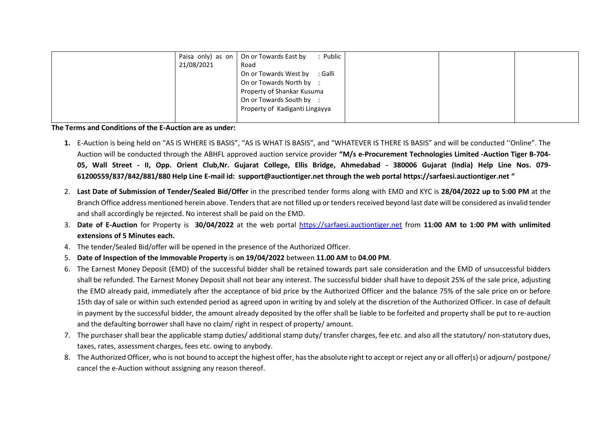| Paisa only) as on | : Public<br>On or Towards East by |  |  |
|-------------------|-----------------------------------|--|--|
| 21/08/2021        | Road                              |  |  |
|                   | On or Towards West by<br>: Galli  |  |  |
|                   | On or Towards North by :          |  |  |
|                   | Property of Shankar Kusuma        |  |  |
|                   | On or Towards South by :          |  |  |
|                   | Property of Kadiganti Lingayya    |  |  |
|                   |                                   |  |  |

**The Terms and Conditions of the E-Auction are as under:** 

- **1.** E-Auction is being held on "AS IS WHERE IS BASIS", "AS IS WHAT IS BASIS", and "WHATEVER IS THERE IS BASIS" and will be conducted ''Online". The Auction will be conducted through the ABHFL approved auction service provider **"M/s e-Procurement Technologies Limited -Auction Tiger B-704- 05, Wall Street - II, Opp. Orient Club,Nr. Gujarat College, Ellis Bridge, Ahmedabad - 380006 Gujarat (India) Help Line Nos. 079- 61200559/837/842/881/880 Help Line E-mail id: [support@auctiontiger.net](mailto:support@auctiontiger.net) through the web portal [https://sarfaesi.auctiontiger.net](https://sarfaesi.auctiontiger.net/) "**
- 2. **Last Date of Submission of Tender/Sealed Bid/Offer** in the prescribed tender forms along with EMD and KYC is **28/04/2022 up to 5:00 PM** at the Branch Office address mentioned herein above. Tenders that are not filled up or tenders received beyond last date will be considered as invalid tender and shall accordingly be rejected. No interest shall be paid on the EMD.
- 3. **Date of E-Auction** for Property is **30/04/2022** at the web portal [https://sarfaesi.auctiontiger.net](https://sarfaesi.auctiontiger.net/) from **11:00 AM to 1:00 PM with unlimited extensions of 5 Minutes each.**
- 4. The tender/Sealed Bid/offer will be opened in the presence of the Authorized Officer.
- 5. **Date of Inspection of the Immovable Property** is **on 19/04/2022** between **11.00 AM** to **04.00 PM**.
- 6. The Earnest Money Deposit (EMD) of the successful bidder shall be retained towards part sale consideration and the EMD of unsuccessful bidders shall be refunded. The Earnest Money Deposit shall not bear any interest. The successful bidder shall have to deposit 25% of the sale price, adjusting the EMD already paid, immediately after the acceptance of bid price by the Authorized Officer and the balance 75% of the sale price on or before 15th day of sale or within such extended period as agreed upon in writing by and solely at the discretion of the Authorized Officer. In case of default in payment by the successful bidder, the amount already deposited by the offer shall be liable to be forfeited and property shall be put to re-auction and the defaulting borrower shall have no claim/ right in respect of property/ amount.
- 7. The purchaser shall bear the applicable stamp duties/ additional stamp duty/ transfer charges, fee etc. and also all the statutory/ non-statutory dues, taxes, rates, assessment charges, fees etc. owing to anybody.
- 8. The Authorized Officer, who is not bound to accept the highest offer, has the absolute right to accept or reject any or all offer(s) or adjourn/ postpone/ cancel the e-Auction without assigning any reason thereof.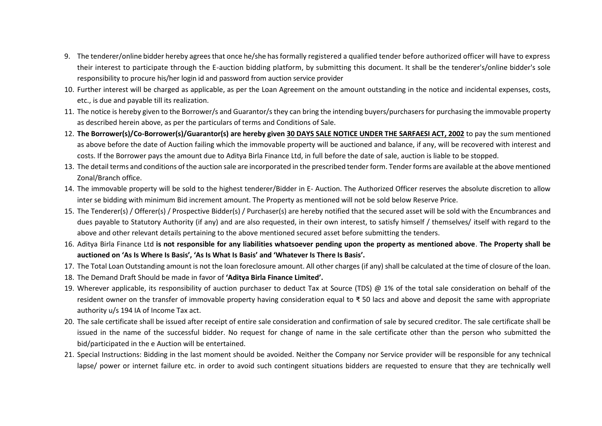- 9. The tenderer/online bidder hereby agrees that once he/she has formally registered a qualified tender before authorized officer will have to express their interest to participate through the E-auction bidding platform, by submitting this document. It shall be the tenderer's/online bidder's sole responsibility to procure his/her login id and password from auction service provider
- 10. Further interest will be charged as applicable, as per the Loan Agreement on the amount outstanding in the notice and incidental expenses, costs, etc., is due and payable till its realization.
- 11. The notice is hereby given to the Borrower/s and Guarantor/s they can bring the intending buyers/purchasers for purchasing the immovable property as described herein above, as per the particulars of terms and Conditions of Sale.
- 12. **The Borrower(s)/Co-Borrower(s)/Guarantor(s) are hereby given 30 DAYS SALE NOTICE UNDER THE SARFAESI ACT, 2002** to pay the sum mentioned as above before the date of Auction failing which the immovable property will be auctioned and balance, if any, will be recovered with interest and costs. If the Borrower pays the amount due to Aditya Birla Finance Ltd, in full before the date of sale, auction is liable to be stopped.
- 13. The detail terms and conditions of the auction sale are incorporated in the prescribed tender form. Tender forms are available at the above mentioned Zonal/Branch office.
- 14. The immovable property will be sold to the highest tenderer/Bidder in E- Auction. The Authorized Officer reserves the absolute discretion to allow inter se bidding with minimum Bid increment amount. The Property as mentioned will not be sold below Reserve Price.
- 15. The Tenderer(s) / Offerer(s) / Prospective Bidder(s) / Purchaser(s) are hereby notified that the secured asset will be sold with the Encumbrances and dues payable to Statutory Authority (if any) and are also requested, in their own interest, to satisfy himself / themselves/ itself with regard to the above and other relevant details pertaining to the above mentioned secured asset before submitting the tenders.
- 16. Aditya Birla Finance Ltd **is not responsible for any liabilities whatsoever pending upon the property as mentioned above**. **The Property shall be auctioned on 'As Is Where Is Basis', 'As Is What Is Basis' and 'Whatever Is There Is Basis'.**
- 17. The Total Loan Outstanding amount is not the loan foreclosure amount. All other charges (if any) shall be calculated at the time of closure of the loan.
- 18. The Demand Draft Should be made in favor of **'Aditya Birla Finance Limited'.**
- 19. Wherever applicable, its responsibility of auction purchaser to deduct Tax at Source (TDS) @ 1% of the total sale consideration on behalf of the resident owner on the transfer of immovable property having consideration equal to ₹ 50 lacs and above and deposit the same with appropriate authority u/s 194 IA of Income Tax act.
- 20. The sale certificate shall be issued after receipt of entire sale consideration and confirmation of sale by secured creditor. The sale certificate shall be issued in the name of the successful bidder. No request for change of name in the sale certificate other than the person who submitted the bid/participated in the e Auction will be entertained.
- 21. Special Instructions: Bidding in the last moment should be avoided. Neither the Company nor Service provider will be responsible for any technical lapse/ power or internet failure etc. in order to avoid such contingent situations bidders are requested to ensure that they are technically well